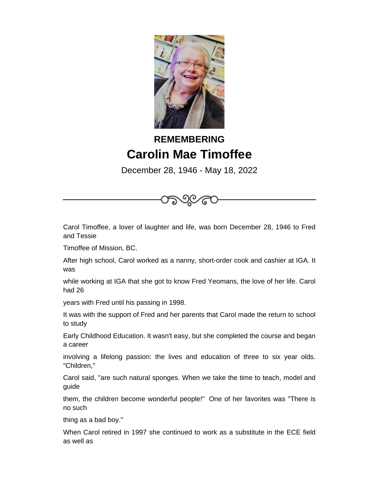

## **REMEMBERING Carolin Mae Timoffee**

December 28, 1946 - May 18, 2022

Carol Timoffee, a lover of laughter and life, was born December 28, 1946 to Fred and Tessie

Timoffee of Mission, BC.

After high school, Carol worked as a nanny, short-order cook and cashier at IGA. It was

while working at IGA that she got to know Fred Yeomans, the love of her life. Carol had 26

years with Fred until his passing in 1998.

It was with the support of Fred and her parents that Carol made the return to school to study

Early Childhood Education. It wasn't easy, but she completed the course and began a career

involving a lifelong passion: the lives and education of three to six year olds. "Children,"

Carol said, "are such natural sponges. When we take the time to teach, model and guide

them, the children become wonderful people!" One of her favorites was "There is no such

thing as a bad boy."

When Carol retired in 1997 she continued to work as a substitute in the ECE field as well as